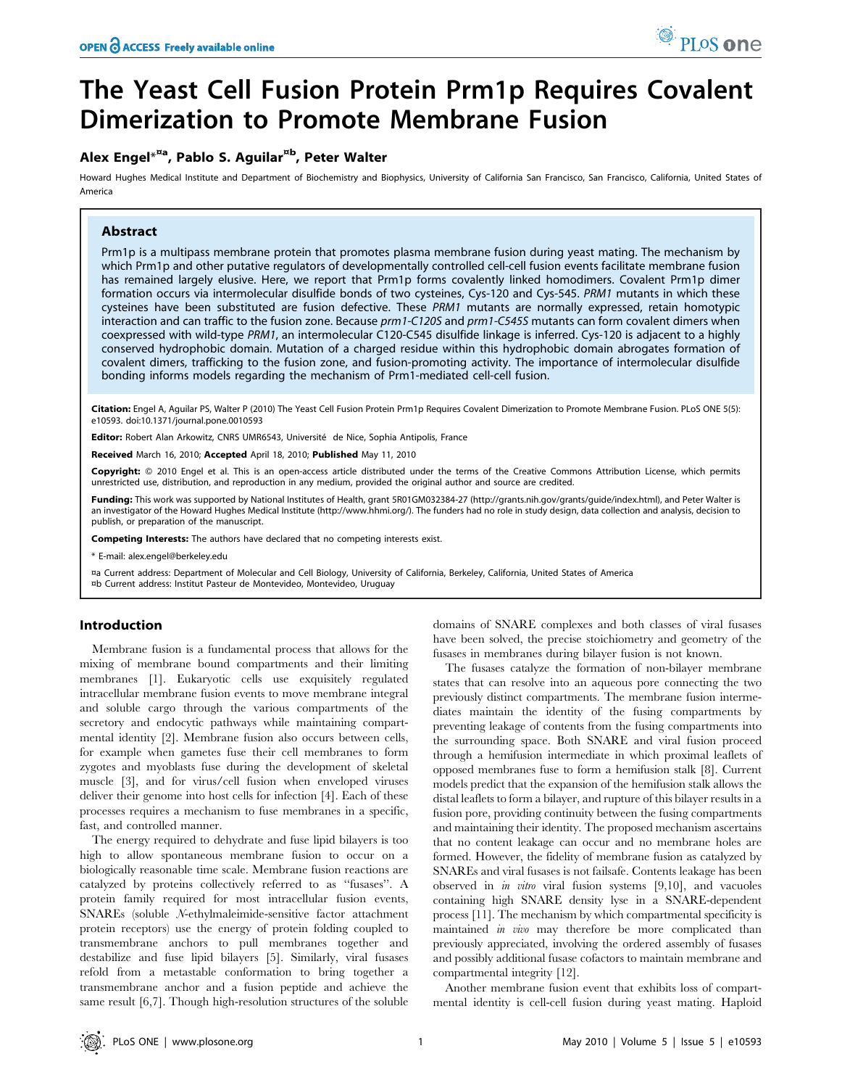# The Yeast Cell Fusion Protein Prm1p Requires Covalent Dimerization to Promote Membrane Fusion

## Alex Engel $^{\star}{}^{\rm\scriptscriptstyle NA}$ , Pablo S. Aguilar $^{\rm\textrm{ab}}$ , Peter Walter

Howard Hughes Medical Institute and Department of Biochemistry and Biophysics, University of California San Francisco, San Francisco, California, United States of America

## Abstract

Prm1p is a multipass membrane protein that promotes plasma membrane fusion during yeast mating. The mechanism by which Prm1p and other putative regulators of developmentally controlled cell-cell fusion events facilitate membrane fusion has remained largely elusive. Here, we report that Prm1p forms covalently linked homodimers. Covalent Prm1p dimer formation occurs via intermolecular disulfide bonds of two cysteines, Cys-120 and Cys-545. PRM1 mutants in which these cysteines have been substituted are fusion defective. These PRM1 mutants are normally expressed, retain homotypic interaction and can traffic to the fusion zone. Because prm1-C120S and prm1-C545S mutants can form covalent dimers when coexpressed with wild-type PRM1, an intermolecular C120-C545 disulfide linkage is inferred. Cys-120 is adjacent to a highly conserved hydrophobic domain. Mutation of a charged residue within this hydrophobic domain abrogates formation of covalent dimers, trafficking to the fusion zone, and fusion-promoting activity. The importance of intermolecular disulfide bonding informs models regarding the mechanism of Prm1-mediated cell-cell fusion.

Citation: Engel A, Aguilar PS, Walter P (2010) The Yeast Cell Fusion Protein Prm1p Requires Covalent Dimerization to Promote Membrane Fusion. PLoS ONE 5(5): e10593. doi:10.1371/journal.pone.0010593

Editor: Robert Alan Arkowitz, CNRS UMR6543, Université de Nice, Sophia Antipolis, France

Received March 16, 2010; Accepted April 18, 2010; Published May 11, 2010

Copyright: © 2010 Engel et al. This is an open-access article distributed under the terms of the Creative Commons Attribution License, which permits unrestricted use, distribution, and reproduction in any medium, provided the original author and source are credited.

Funding: This work was supported by National Institutes of Health, grant 5R01GM032384-27 (http://grants.nih.gov/grants/guide/index.html), and Peter Walter is an investigator of the Howard Hughes Medical Institute (http://www.hhmi.org/). The funders had no role in study design, data collection and analysis, decision to publish, or preparation of the manuscript.

Competing Interests: The authors have declared that no competing interests exist.

\* E-mail: alex.engel@berkeley.edu

¤a Current address: Department of Molecular and Cell Biology, University of California, Berkeley, California, United States of America ¤b Current address: Institut Pasteur de Montevideo, Montevideo, Uruguay

## Introduction

Membrane fusion is a fundamental process that allows for the mixing of membrane bound compartments and their limiting membranes [1]. Eukaryotic cells use exquisitely regulated intracellular membrane fusion events to move membrane integral and soluble cargo through the various compartments of the secretory and endocytic pathways while maintaining compartmental identity [2]. Membrane fusion also occurs between cells, for example when gametes fuse their cell membranes to form zygotes and myoblasts fuse during the development of skeletal muscle [3], and for virus/cell fusion when enveloped viruses deliver their genome into host cells for infection [4]. Each of these processes requires a mechanism to fuse membranes in a specific, fast, and controlled manner.

The energy required to dehydrate and fuse lipid bilayers is too high to allow spontaneous membrane fusion to occur on a biologically reasonable time scale. Membrane fusion reactions are catalyzed by proteins collectively referred to as ''fusases''. A protein family required for most intracellular fusion events, SNAREs (soluble N-ethylmaleimide-sensitive factor attachment protein receptors) use the energy of protein folding coupled to transmembrane anchors to pull membranes together and destabilize and fuse lipid bilayers [5]. Similarly, viral fusases refold from a metastable conformation to bring together a transmembrane anchor and a fusion peptide and achieve the same result [6,7]. Though high-resolution structures of the soluble domains of SNARE complexes and both classes of viral fusases have been solved, the precise stoichiometry and geometry of the fusases in membranes during bilayer fusion is not known.

The fusases catalyze the formation of non-bilayer membrane states that can resolve into an aqueous pore connecting the two previously distinct compartments. The membrane fusion intermediates maintain the identity of the fusing compartments by preventing leakage of contents from the fusing compartments into the surrounding space. Both SNARE and viral fusion proceed through a hemifusion intermediate in which proximal leaflets of opposed membranes fuse to form a hemifusion stalk [8]. Current models predict that the expansion of the hemifusion stalk allows the distal leaflets to form a bilayer, and rupture of this bilayer results in a fusion pore, providing continuity between the fusing compartments and maintaining their identity. The proposed mechanism ascertains that no content leakage can occur and no membrane holes are formed. However, the fidelity of membrane fusion as catalyzed by SNAREs and viral fusases is not failsafe. Contents leakage has been observed in *in vitro* viral fusion systems  $[9,10]$ , and vacuoles containing high SNARE density lyse in a SNARE-dependent process [11]. The mechanism by which compartmental specificity is maintained in vivo may therefore be more complicated than previously appreciated, involving the ordered assembly of fusases and possibly additional fusase cofactors to maintain membrane and compartmental integrity [12].

Another membrane fusion event that exhibits loss of compartmental identity is cell-cell fusion during yeast mating. Haploid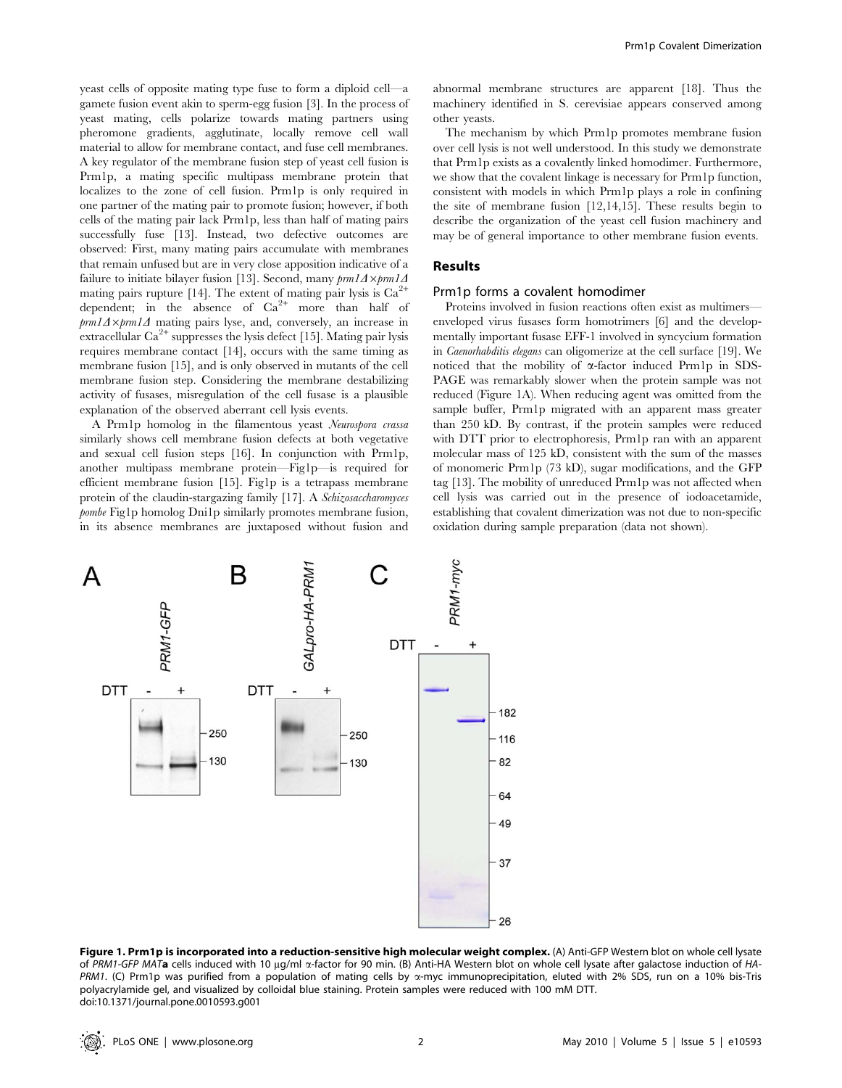yeast cells of opposite mating type fuse to form a diploid cell—a gamete fusion event akin to sperm-egg fusion [3]. In the process of yeast mating, cells polarize towards mating partners using pheromone gradients, agglutinate, locally remove cell wall material to allow for membrane contact, and fuse cell membranes. A key regulator of the membrane fusion step of yeast cell fusion is Prm1p, a mating specific multipass membrane protein that localizes to the zone of cell fusion. Prm1p is only required in one partner of the mating pair to promote fusion; however, if both cells of the mating pair lack Prm1p, less than half of mating pairs successfully fuse [13]. Instead, two defective outcomes are observed: First, many mating pairs accumulate with membranes that remain unfused but are in very close apposition indicative of a failure to initiate bilayer fusion [13]. Second, many  $pm1\Delta \times pm1\Delta$ mating pairs rupture [14]. The extent of mating pair lysis is  $Ca^{2+}$ dependent; in the absence of  $Ca^{2+}$  more than half of  $pm1\Delta \times pm1\Delta$  mating pairs lyse, and, conversely, an increase in extracellular  $Ca^{2+}$  suppresses the lysis defect [15]. Mating pair lysis requires membrane contact [14], occurs with the same timing as membrane fusion [15], and is only observed in mutants of the cell membrane fusion step. Considering the membrane destabilizing activity of fusases, misregulation of the cell fusase is a plausible explanation of the observed aberrant cell lysis events.

A Prm1p homolog in the filamentous yeast Neurospora crassa similarly shows cell membrane fusion defects at both vegetative and sexual cell fusion steps [16]. In conjunction with Prm1p, another multipass membrane protein—Fig1p—is required for efficient membrane fusion [15]. Fig1p is a tetrapass membrane protein of the claudin-stargazing family [17]. A Schizosaccharomyces pombe Fig1p homolog Dni1p similarly promotes membrane fusion, in its absence membranes are juxtaposed without fusion and abnormal membrane structures are apparent [18]. Thus the machinery identified in S. cerevisiae appears conserved among other yeasts.

The mechanism by which Prm1p promotes membrane fusion over cell lysis is not well understood. In this study we demonstrate that Prm1p exists as a covalently linked homodimer. Furthermore, we show that the covalent linkage is necessary for Prm1p function, consistent with models in which Prm1p plays a role in confining the site of membrane fusion [12,14,15]. These results begin to describe the organization of the yeast cell fusion machinery and may be of general importance to other membrane fusion events.

#### Results

#### Prm1p forms a covalent homodimer

Proteins involved in fusion reactions often exist as multimers enveloped virus fusases form homotrimers [6] and the developmentally important fusase EFF-1 involved in syncycium formation in Caenorhabditis elegans can oligomerize at the cell surface [19]. We noticed that the mobility of a-factor induced Prm1p in SDS-PAGE was remarkably slower when the protein sample was not reduced (Figure 1A). When reducing agent was omitted from the sample buffer, Prm1p migrated with an apparent mass greater than 250 kD. By contrast, if the protein samples were reduced with DTT prior to electrophoresis, Prm1p ran with an apparent molecular mass of 125 kD, consistent with the sum of the masses of monomeric Prm1p (73 kD), sugar modifications, and the GFP tag [13]. The mobility of unreduced Prm1p was not affected when cell lysis was carried out in the presence of iodoacetamide, establishing that covalent dimerization was not due to non-specific oxidation during sample preparation (data not shown).



Figure 1. Prm1p is incorporated into a reduction-sensitive high molecular weight complex. (A) Anti-GFP Western blot on whole cell lysate of PRM1-GFP MATa cells induced with 10 µg/ml  $\alpha$ -factor for 90 min. (B) Anti-HA Western blot on whole cell lysate after galactose induction of HA-PRM1. (C) Prm1p was purified from a population of mating cells by a-myc immunoprecipitation, eluted with 2% SDS, run on a 10% bis-Tris polyacrylamide gel, and visualized by colloidal blue staining. Protein samples were reduced with 100 mM DTT. doi:10.1371/journal.pone.0010593.g001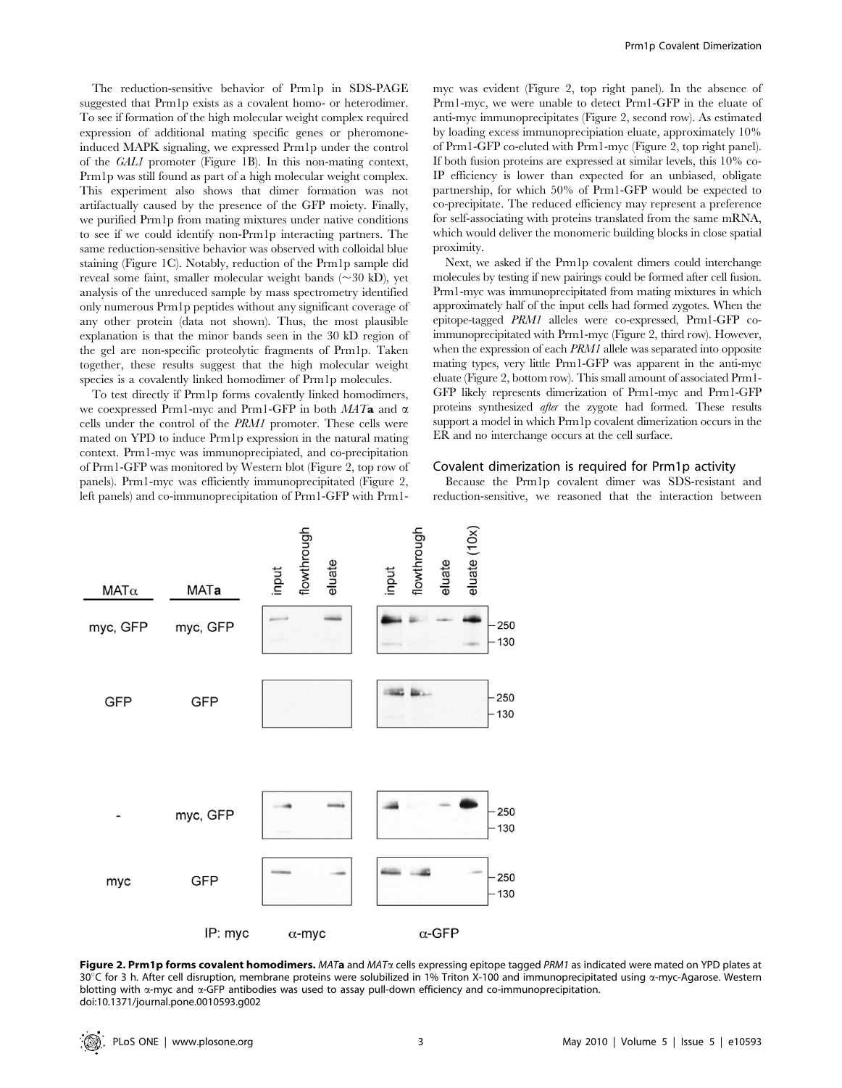The reduction-sensitive behavior of Prm1p in SDS-PAGE suggested that Prm1p exists as a covalent homo- or heterodimer. To see if formation of the high molecular weight complex required expression of additional mating specific genes or pheromoneinduced MAPK signaling, we expressed Prm1p under the control of the GAL1 promoter (Figure 1B). In this non-mating context, Prm1p was still found as part of a high molecular weight complex. This experiment also shows that dimer formation was not artifactually caused by the presence of the GFP moiety. Finally, we purified Prm1p from mating mixtures under native conditions to see if we could identify non-Prm1p interacting partners. The same reduction-sensitive behavior was observed with colloidal blue staining (Figure 1C). Notably, reduction of the Prm1p sample did reveal some faint, smaller molecular weight bands  $(\sim 30 \text{ kD})$ , yet analysis of the unreduced sample by mass spectrometry identified only numerous Prm1p peptides without any significant coverage of any other protein (data not shown). Thus, the most plausible explanation is that the minor bands seen in the 30 kD region of the gel are non-specific proteolytic fragments of Prm1p. Taken together, these results suggest that the high molecular weight species is a covalently linked homodimer of Prm1p molecules.

To test directly if Prm1p forms covalently linked homodimers, we coexpressed Prm1-myc and Prm1-GFP in both  $MATa$  and  $\alpha$ cells under the control of the PRM1 promoter. These cells were mated on YPD to induce Prm1p expression in the natural mating context. Prm1-myc was immunoprecipiated, and co-precipitation of Prm1-GFP was monitored by Western blot (Figure 2, top row of panels). Prm1-myc was efficiently immunoprecipitated (Figure 2, left panels) and co-immunoprecipitation of Prm1-GFP with Prm1myc was evident (Figure 2, top right panel). In the absence of Prm1-myc, we were unable to detect Prm1-GFP in the eluate of anti-myc immunoprecipitates (Figure 2, second row). As estimated by loading excess immunoprecipiation eluate, approximately 10% of Prm1-GFP co-eluted with Prm1-myc (Figure 2, top right panel). If both fusion proteins are expressed at similar levels, this 10% co-IP efficiency is lower than expected for an unbiased, obligate partnership, for which 50% of Prm1-GFP would be expected to co-precipitate. The reduced efficiency may represent a preference for self-associating with proteins translated from the same mRNA, which would deliver the monomeric building blocks in close spatial proximity.

Next, we asked if the Prm1p covalent dimers could interchange molecules by testing if new pairings could be formed after cell fusion. Prm1-myc was immunoprecipitated from mating mixtures in which approximately half of the input cells had formed zygotes. When the epitope-tagged PRM1 alleles were co-expressed, Prm1-GFP coimmunoprecipitated with Prm1-myc (Figure 2, third row). However, when the expression of each *PRM1* allele was separated into opposite mating types, very little Prm1-GFP was apparent in the anti-myc eluate (Figure 2, bottom row). This small amount of associated Prm1- GFP likely represents dimerization of Prm1-myc and Prm1-GFP proteins synthesized after the zygote had formed. These results support a model in which Prm1p covalent dimerization occurs in the ER and no interchange occurs at the cell surface.

#### Covalent dimerization is required for Prm1p activity

Because the Prm1p covalent dimer was SDS-resistant and reduction-sensitive, we reasoned that the interaction between



Figure 2. Prm1p forms covalent homodimers. MATa and MATa cells expressing epitope tagged PRM1 as indicated were mated on YPD plates at 30°C for 3 h. After cell disruption, membrane proteins were solubilized in 1% Triton X-100 and immunoprecipitated using  $\alpha$ -myc-Agarose. Western blotting with a-myc and a-GFP antibodies was used to assay pull-down efficiency and co-immunoprecipitation. doi:10.1371/journal.pone.0010593.g002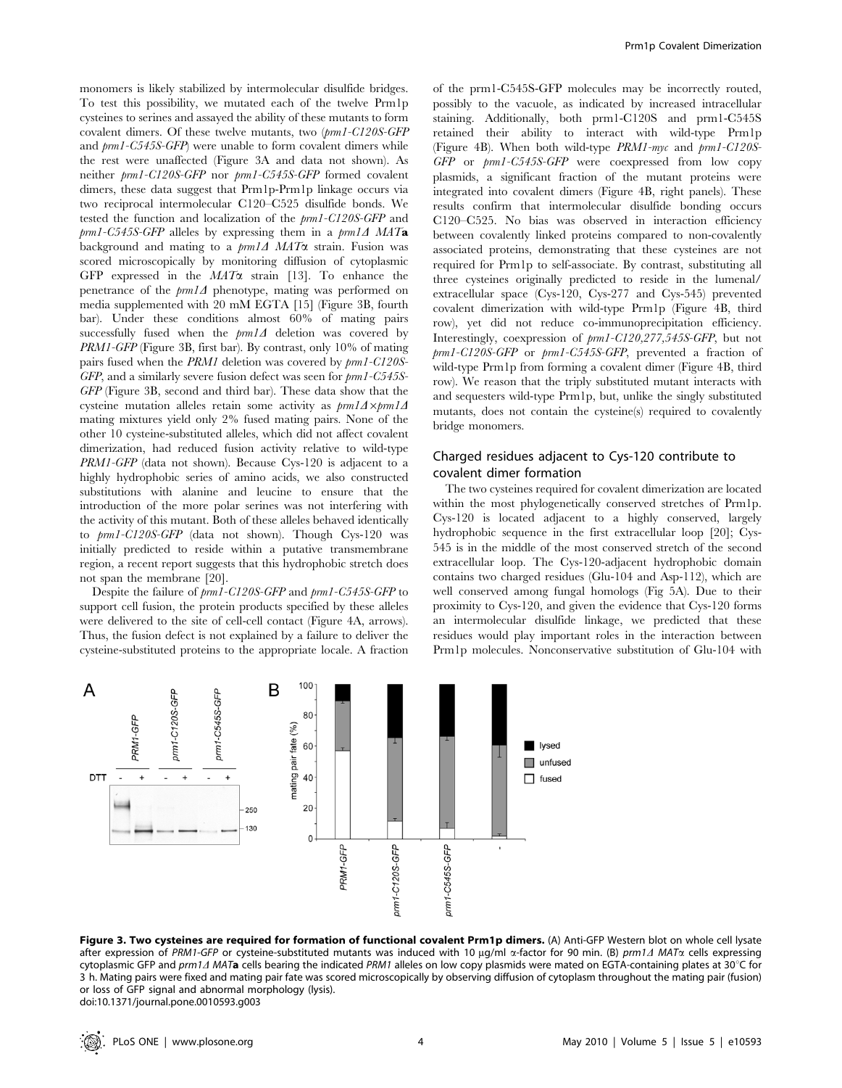monomers is likely stabilized by intermolecular disulfide bridges. To test this possibility, we mutated each of the twelve Prm1p cysteines to serines and assayed the ability of these mutants to form covalent dimers. Of these twelve mutants, two (prm1-C120S-GFP and prm1-C545S-GFP) were unable to form covalent dimers while the rest were unaffected (Figure 3A and data not shown). As neither prm1-C120S-GFP nor prm1-C545S-GFP formed covalent dimers, these data suggest that Prm1p-Prm1p linkage occurs via two reciprocal intermolecular C120–C525 disulfide bonds. We tested the function and localization of the prm1-C120S-GFP and  $pm1$ -C545S-GFP alleles by expressing them in a  $pm1\Delta$  MATa background and mating to a  $\text{pm1} \Delta$  MAT $\alpha$  strain. Fusion was scored microscopically by monitoring diffusion of cytoplasmic GFP expressed in the  $MAT\alpha$  strain [13]. To enhance the penetrance of the  $\text{pm1}\Delta$  phenotype, mating was performed on media supplemented with 20 mM EGTA [15] (Figure 3B, fourth bar). Under these conditions almost 60% of mating pairs successfully fused when the  $pm1\Delta$  deletion was covered by PRM1-GFP (Figure 3B, first bar). By contrast, only 10% of mating pairs fused when the PRM1 deletion was covered by prm1-C120S-GFP, and a similarly severe fusion defect was seen for  $pm1$ -C545S-GFP (Figure 3B, second and third bar). These data show that the cysteine mutation alleles retain some activity as  $pm1\Delta\timespm1\Delta$ mating mixtures yield only 2% fused mating pairs. None of the other 10 cysteine-substituted alleles, which did not affect covalent dimerization, had reduced fusion activity relative to wild-type PRM1-GFP (data not shown). Because Cys-120 is adjacent to a highly hydrophobic series of amino acids, we also constructed substitutions with alanine and leucine to ensure that the introduction of the more polar serines was not interfering with the activity of this mutant. Both of these alleles behaved identically to prm1-C120S-GFP (data not shown). Though Cys-120 was initially predicted to reside within a putative transmembrane region, a recent report suggests that this hydrophobic stretch does not span the membrane [20].

Despite the failure of prm1-C120S-GFP and prm1-C545S-GFP to support cell fusion, the protein products specified by these alleles were delivered to the site of cell-cell contact (Figure 4A, arrows). Thus, the fusion defect is not explained by a failure to deliver the cysteine-substituted proteins to the appropriate locale. A fraction of the prm1-C545S-GFP molecules may be incorrectly routed, possibly to the vacuole, as indicated by increased intracellular staining. Additionally, both prm1-C120S and prm1-C545S retained their ability to interact with wild-type Prm1p (Figure 4B). When both wild-type PRM1-myc and prm1-C120S-GFP or prm1-C545S-GFP were coexpressed from low copy plasmids, a significant fraction of the mutant proteins were integrated into covalent dimers (Figure 4B, right panels). These results confirm that intermolecular disulfide bonding occurs C120–C525. No bias was observed in interaction efficiency between covalently linked proteins compared to non-covalently associated proteins, demonstrating that these cysteines are not required for Prm1p to self-associate. By contrast, substituting all three cysteines originally predicted to reside in the lumenal/ extracellular space (Cys-120, Cys-277 and Cys-545) prevented covalent dimerization with wild-type Prm1p (Figure 4B, third row), yet did not reduce co-immunoprecipitation efficiency. Interestingly, coexpression of prm1-C120,277,545S-GFP, but not prm1-C120S-GFP or prm1-C545S-GFP, prevented a fraction of wild-type Prm1p from forming a covalent dimer (Figure 4B, third row). We reason that the triply substituted mutant interacts with and sequesters wild-type Prm1p, but, unlike the singly substituted mutants, does not contain the cysteine(s) required to covalently bridge monomers.

## Charged residues adjacent to Cys-120 contribute to covalent dimer formation

The two cysteines required for covalent dimerization are located within the most phylogenetically conserved stretches of Prm1p. Cys-120 is located adjacent to a highly conserved, largely hydrophobic sequence in the first extracellular loop [20]; Cys-545 is in the middle of the most conserved stretch of the second extracellular loop. The Cys-120-adjacent hydrophobic domain contains two charged residues (Glu-104 and Asp-112), which are well conserved among fungal homologs (Fig 5A). Due to their proximity to Cys-120, and given the evidence that Cys-120 forms an intermolecular disulfide linkage, we predicted that these residues would play important roles in the interaction between Prm1p molecules. Nonconservative substitution of Glu-104 with



Figure 3. Two cysteines are required for formation of functional covalent Prm1p dimers. (A) Anti-GFP Western blot on whole cell lysate after expression of PRM1-GFP or cysteine-substituted mutants was induced with 10  $\mu$ g/ml  $\alpha$ -factor for 90 min. (B) prm1 $\Delta$  MAT $\alpha$  cells expressing cytoplasmic GFP and prm1 $\Delta$  MATa cells bearing the indicated PRM1 alleles on low copy plasmids were mated on EGTA-containing plates at 30°C for 3 h. Mating pairs were fixed and mating pair fate was scored microscopically by observing diffusion of cytoplasm throughout the mating pair (fusion) or loss of GFP signal and abnormal morphology (lysis). doi:10.1371/journal.pone.0010593.g003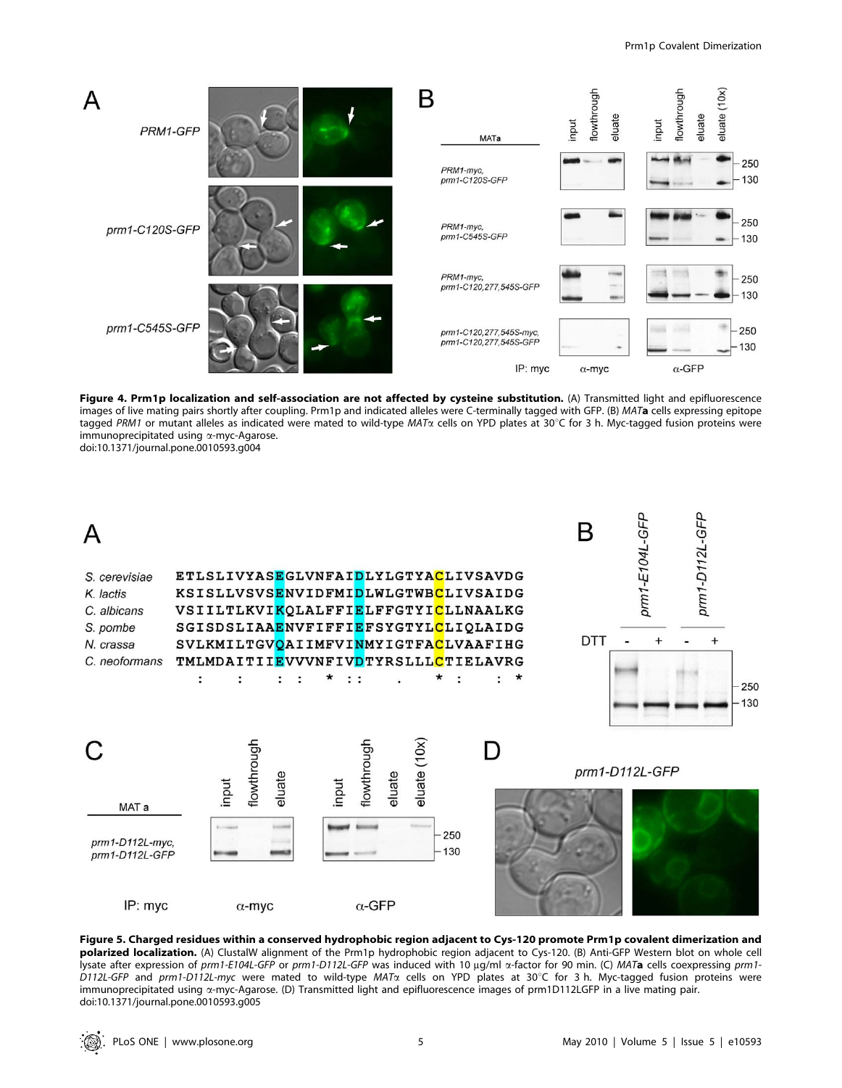

Figure 4. Prm1p localization and self-association are not affected by cysteine substitution. (A) Transmitted light and epifluorescence images of live mating pairs shortly after coupling. Prm1p and indicated alleles were C-terminally tagged with GFP. (B) MATa cells expressing epitope tagged PRM1 or mutant alleles as indicated were mated to wild-type MAT $\alpha$  cells on YPD plates at 30°C for 3 h. Myc-tagged fusion proteins were immunoprecipitated using a-myc-Agarose. doi:10.1371/journal.pone.0010593.g004



Figure 5. Charged residues within a conserved hydrophobic region adjacent to Cys-120 promote Prm1p covalent dimerization and polarized localization. (A) ClustalW alignment of the Prm1p hydrophobic region adjacent to Cys-120. (B) Anti-GFP Western blot on whole cell lysate after expression of prm1-E104L-GFP or prm1-D112L-GFP was induced with 10 µg/ml a-factor for 90 min. (C) MATa cells coexpressing prm1-D112L-GFP and prm1-D112L-myc were mated to wild-type MAT $\alpha$  cells on YPD plates at 30°C for 3 h. Myc-tagged fusion proteins were immunoprecipitated using a-myc-Agarose. (D) Transmitted light and epifluorescence images of prm1D112LGFP in a live mating pair. doi:10.1371/journal.pone.0010593.g005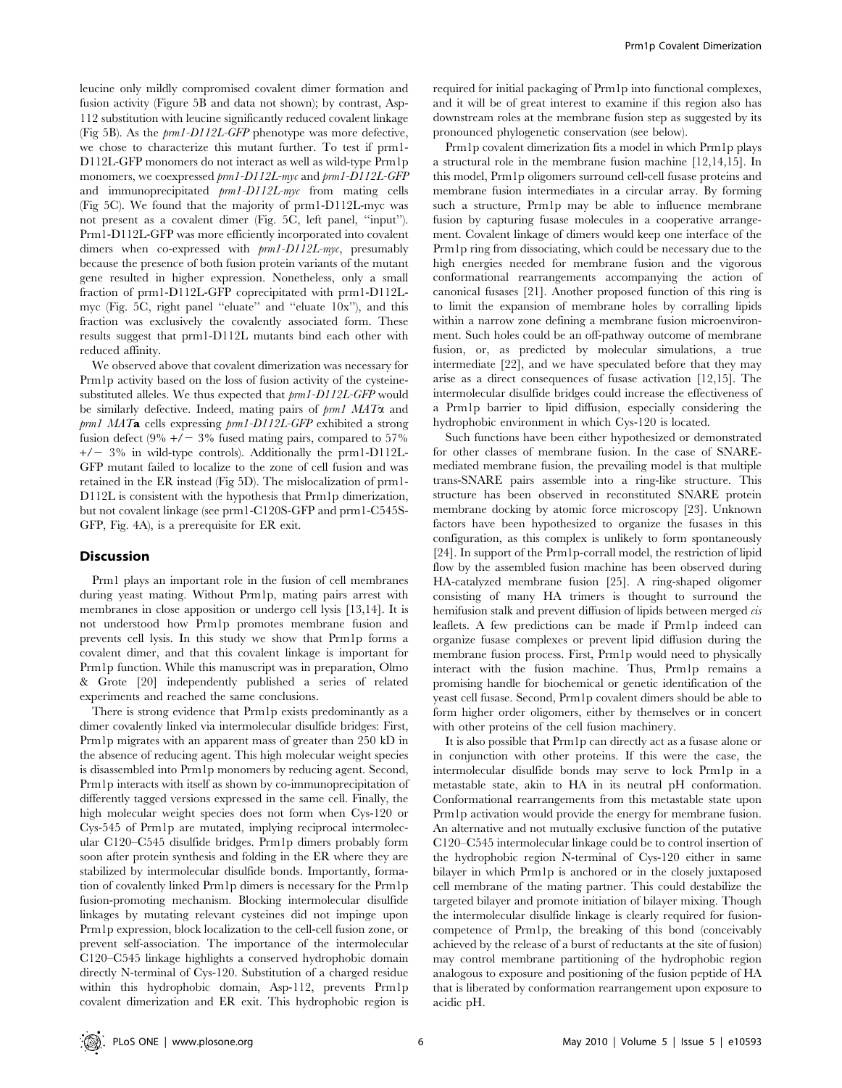leucine only mildly compromised covalent dimer formation and fusion activity (Figure 5B and data not shown); by contrast, Asp-112 substitution with leucine significantly reduced covalent linkage (Fig 5B). As the prm1-D112L-GFP phenotype was more defective, we chose to characterize this mutant further. To test if prm1- D112L-GFP monomers do not interact as well as wild-type Prm1p monomers, we coexpressed  $pm1-D112L-myc$  and  $pm1-D112L-GFP$ and immunoprecipitated prm1-D112L-myc from mating cells (Fig 5C). We found that the majority of prm1-D112L-myc was not present as a covalent dimer (Fig. 5C, left panel, ''input''). Prm1-D112L-GFP was more efficiently incorporated into covalent dimers when co-expressed with prm1-D112L-myc, presumably because the presence of both fusion protein variants of the mutant gene resulted in higher expression. Nonetheless, only a small fraction of prm1-D112L-GFP coprecipitated with prm1-D112Lmyc (Fig. 5C, right panel ''eluate'' and ''eluate 10x''), and this fraction was exclusively the covalently associated form. These results suggest that prm1-D112L mutants bind each other with reduced affinity.

We observed above that covalent dimerization was necessary for Prm1p activity based on the loss of fusion activity of the cysteinesubstituted alleles. We thus expected that prm1-D112L-GFP would be similarly defective. Indeed, mating pairs of  $pm1$  MAT $\alpha$  and prm1 MATa cells expressing prm1-D112L-GFP exhibited a strong fusion defect (9%  $+/-$  3% fused mating pairs, compared to 57%  $+/-$  3% in wild-type controls). Additionally the prm1-D112L-GFP mutant failed to localize to the zone of cell fusion and was retained in the ER instead (Fig 5D). The mislocalization of prm1- D112L is consistent with the hypothesis that Prm1p dimerization, but not covalent linkage (see prm1-C120S-GFP and prm1-C545S-GFP, Fig. 4A), is a prerequisite for ER exit.

#### **Discussion**

Prm1 plays an important role in the fusion of cell membranes during yeast mating. Without Prm1p, mating pairs arrest with membranes in close apposition or undergo cell lysis [13,14]. It is not understood how Prm1p promotes membrane fusion and prevents cell lysis. In this study we show that Prm1p forms a covalent dimer, and that this covalent linkage is important for Prm1p function. While this manuscript was in preparation, Olmo & Grote [20] independently published a series of related experiments and reached the same conclusions.

There is strong evidence that Prm1p exists predominantly as a dimer covalently linked via intermolecular disulfide bridges: First, Prm1p migrates with an apparent mass of greater than 250 kD in the absence of reducing agent. This high molecular weight species is disassembled into Prm1p monomers by reducing agent. Second, Prm1p interacts with itself as shown by co-immunoprecipitation of differently tagged versions expressed in the same cell. Finally, the high molecular weight species does not form when Cys-120 or Cys-545 of Prm1p are mutated, implying reciprocal intermolecular C120–C545 disulfide bridges. Prm1p dimers probably form soon after protein synthesis and folding in the ER where they are stabilized by intermolecular disulfide bonds. Importantly, formation of covalently linked Prm1p dimers is necessary for the Prm1p fusion-promoting mechanism. Blocking intermolecular disulfide linkages by mutating relevant cysteines did not impinge upon Prm1p expression, block localization to the cell-cell fusion zone, or prevent self-association. The importance of the intermolecular C120–C545 linkage highlights a conserved hydrophobic domain directly N-terminal of Cys-120. Substitution of a charged residue within this hydrophobic domain, Asp-112, prevents Prm1p covalent dimerization and ER exit. This hydrophobic region is

required for initial packaging of Prm1p into functional complexes, and it will be of great interest to examine if this region also has downstream roles at the membrane fusion step as suggested by its pronounced phylogenetic conservation (see below).

Prm1p covalent dimerization fits a model in which Prm1p plays a structural role in the membrane fusion machine [12,14,15]. In this model, Prm1p oligomers surround cell-cell fusase proteins and membrane fusion intermediates in a circular array. By forming such a structure, Prm1p may be able to influence membrane fusion by capturing fusase molecules in a cooperative arrangement. Covalent linkage of dimers would keep one interface of the Prm1p ring from dissociating, which could be necessary due to the high energies needed for membrane fusion and the vigorous conformational rearrangements accompanying the action of canonical fusases [21]. Another proposed function of this ring is to limit the expansion of membrane holes by corralling lipids within a narrow zone defining a membrane fusion microenvironment. Such holes could be an off-pathway outcome of membrane fusion, or, as predicted by molecular simulations, a true intermediate [22], and we have speculated before that they may arise as a direct consequences of fusase activation [12,15]. The intermolecular disulfide bridges could increase the effectiveness of a Prm1p barrier to lipid diffusion, especially considering the hydrophobic environment in which Cys-120 is located.

Such functions have been either hypothesized or demonstrated for other classes of membrane fusion. In the case of SNAREmediated membrane fusion, the prevailing model is that multiple trans-SNARE pairs assemble into a ring-like structure. This structure has been observed in reconstituted SNARE protein membrane docking by atomic force microscopy [23]. Unknown factors have been hypothesized to organize the fusases in this configuration, as this complex is unlikely to form spontaneously [24]. In support of the Prm1p-corrall model, the restriction of lipid flow by the assembled fusion machine has been observed during HA-catalyzed membrane fusion [25]. A ring-shaped oligomer consisting of many HA trimers is thought to surround the hemifusion stalk and prevent diffusion of lipids between merged cis leaflets. A few predictions can be made if Prm1p indeed can organize fusase complexes or prevent lipid diffusion during the membrane fusion process. First, Prm1p would need to physically interact with the fusion machine. Thus, Prm1p remains a promising handle for biochemical or genetic identification of the yeast cell fusase. Second, Prm1p covalent dimers should be able to form higher order oligomers, either by themselves or in concert with other proteins of the cell fusion machinery.

It is also possible that Prm1p can directly act as a fusase alone or in conjunction with other proteins. If this were the case, the intermolecular disulfide bonds may serve to lock Prm1p in a metastable state, akin to HA in its neutral pH conformation. Conformational rearrangements from this metastable state upon Prm1p activation would provide the energy for membrane fusion. An alternative and not mutually exclusive function of the putative C120–C545 intermolecular linkage could be to control insertion of the hydrophobic region N-terminal of Cys-120 either in same bilayer in which Prm1p is anchored or in the closely juxtaposed cell membrane of the mating partner. This could destabilize the targeted bilayer and promote initiation of bilayer mixing. Though the intermolecular disulfide linkage is clearly required for fusioncompetence of Prm1p, the breaking of this bond (conceivably achieved by the release of a burst of reductants at the site of fusion) may control membrane partitioning of the hydrophobic region analogous to exposure and positioning of the fusion peptide of HA that is liberated by conformation rearrangement upon exposure to acidic pH.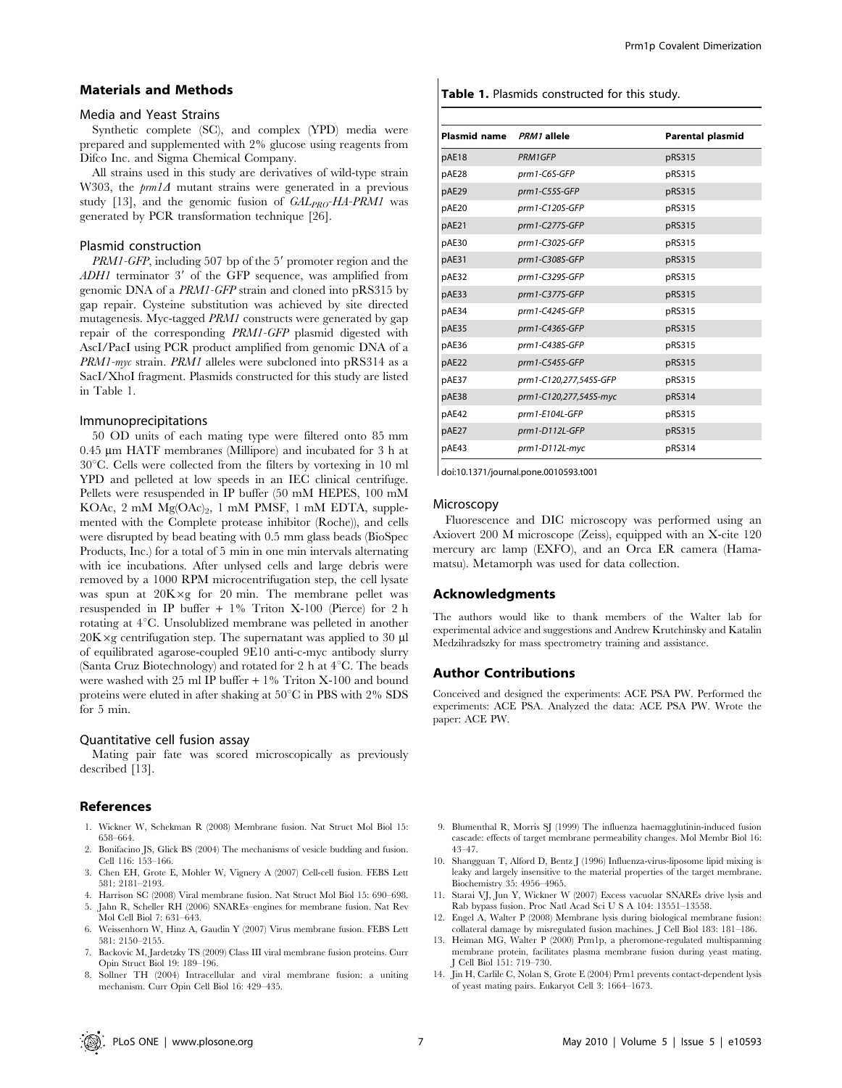#### Materials and Methods

#### Media and Yeast Strains

Synthetic complete (SC), and complex (YPD) media were prepared and supplemented with 2% glucose using reagents from Difco Inc. and Sigma Chemical Company.

All strains used in this study are derivatives of wild-type strain W303, the  $\text{pm1}\Delta$  mutant strains were generated in a previous study [13], and the genomic fusion of  $GAL_{PRO}-HA-PRM1$  was generated by PCR transformation technique [26].

### Plasmid construction

 $PRM1-GFP$ , including 507 bp of the 5' promoter region and the  $ADH1$  terminator 3' of the GFP sequence, was amplified from genomic DNA of a PRM1-GFP strain and cloned into pRS315 by gap repair. Cysteine substitution was achieved by site directed mutagenesis. Myc-tagged PRM1 constructs were generated by gap repair of the corresponding PRM1-GFP plasmid digested with AscI/PacI using PCR product amplified from genomic DNA of a PRM1-myc strain. PRM1 alleles were subcloned into pRS314 as a SacI/XhoI fragment. Plasmids constructed for this study are listed in Table 1.

#### Immunoprecipitations

50 OD units of each mating type were filtered onto 85 mm 0.45 mm HATF membranes (Millipore) and incubated for 3 h at  $30^{\circ}$ C. Cells were collected from the filters by vortexing in 10 ml YPD and pelleted at low speeds in an IEC clinical centrifuge. Pellets were resuspended in IP buffer (50 mM HEPES, 100 mM KOAc,  $2 \text{ mM } Mg(OAc)_{2}$ , 1 mM PMSF, 1 mM EDTA, supplemented with the Complete protease inhibitor (Roche)), and cells were disrupted by bead beating with 0.5 mm glass beads (BioSpec Products, Inc.) for a total of 5 min in one min intervals alternating with ice incubations. After unlysed cells and large debris were removed by a 1000 RPM microcentrifugation step, the cell lysate was spun at  $20K \times g$  for 20 min. The membrane pellet was resuspended in IP buffer + 1% Triton X-100 (Pierce) for 2 h rotating at  $4^{\circ}$ C. Unsolublized membrane was pelleted in another  $20K \times g$  centrifugation step. The supernatant was applied to 30 µl of equilibrated agarose-coupled 9E10 anti-c-myc antibody slurry (Santa Cruz Biotechnology) and rotated for 2 h at  $4^{\circ}$ C. The beads were washed with 25 ml IP buffer + 1% Triton X-100 and bound proteins were eluted in after shaking at  $50^{\circ}$ C in PBS with 2% SDS for 5 min.

#### Quantitative cell fusion assay

Mating pair fate was scored microscopically as previously described [13].

## References

- 1. Wickner W, Schekman R (2008) Membrane fusion. Nat Struct Mol Biol 15: 658–664.
- 2. Bonifacino JS, Glick BS (2004) The mechanisms of vesicle budding and fusion. Cell 116: 153–166.
- 3. Chen EH, Grote E, Mohler W, Vignery A (2007) Cell-cell fusion. FEBS Lett 581: 2181–2193.
- 4. Harrison SC (2008) Viral membrane fusion. Nat Struct Mol Biol 15: 690–698.
- 5. Jahn R, Scheller RH (2006) SNAREs–engines for membrane fusion. Nat Rev Mol Cell Biol 7: 631–643.
- 6. Weissenhorn W, Hinz A, Gaudin Y (2007) Virus membrane fusion. FEBS Lett 581: 2150–2155.
- 7. Backovic M, Jardetzky TS (2009) Class III viral membrane fusion proteins. Curr Opin Struct Biol 19: 189–196.
- 8. Sollner TH (2004) Intracellular and viral membrane fusion: a uniting mechanism. Curr Opin Cell Biol 16: 429–435.

#### Table 1. Plasmids constructed for this study.

| Plasmid name PRM1 allele |                        | <b>Parental plasmid</b> |
|--------------------------|------------------------|-------------------------|
| pAE18                    | PRM1GFP                | pRS315                  |
| pAE28                    | prm1-C6S-GFP           | pRS315                  |
| pAE29                    | prm1-C55S-GFP          | pRS315                  |
| pAE20                    | $prm1$ -C120S-GFP      | pRS315                  |
| pAE21                    | prm1-C277S-GFP         | pRS315                  |
| pAE30                    | prm1-C302S-GFP         | pRS315                  |
| pAE31                    | prm1-C308S-GFP         | pRS315                  |
| pAE32                    | $prm1$ -C329S-GFP      | pRS315                  |
| pAE33                    | prm1-C377S-GFP         | pRS315                  |
| pAE34                    | prm1-C424S-GFP         | pRS315                  |
| pAE35                    | prm1-C436S-GFP         | pRS315                  |
| pAE36                    | prm1-C438S-GFP         | pRS315                  |
| pAE22                    | prm1-C545S-GFP         | pRS315                  |
| pAE37                    | prm1-C120,277,545S-GFP | pRS315                  |
| pAE38                    | prm1-C120,277,545S-myc | pRS314                  |
| pAE42                    | prm1-E104L-GFP         | pRS315                  |
| pAE27                    | prm1-D112L-GFP         | pRS315                  |
| pAE43                    | prm1-D112L-myc         | pRS314                  |
|                          |                        |                         |

doi:10.1371/journal.pone.0010593.t001

### Microscopy

Fluorescence and DIC microscopy was performed using an Axiovert 200 M microscope (Zeiss), equipped with an X-cite 120 mercury arc lamp (EXFO), and an Orca ER camera (Hamamatsu). Metamorph was used for data collection.

#### Acknowledgments

The authors would like to thank members of the Walter lab for experimental advice and suggestions and Andrew Krutchinsky and Katalin Medzihradszky for mass spectrometry training and assistance.

#### Author Contributions

Conceived and designed the experiments: ACE PSA PW. Performed the experiments: ACE PSA. Analyzed the data: ACE PSA PW. Wrote the paper: ACE PW.

- 9. Blumenthal R, Morris SJ (1999) The influenza haemagglutinin-induced fusion cascade: effects of target membrane permeability changes. Mol Membr Biol 16: 43–47.
- 10. Shangguan T, Alford D, Bentz J (1996) Influenza-virus-liposome lipid mixing is leaky and largely insensitive to the material properties of the target membrane. Biochemistry 35: 4956–4965.
- 11. Starai VJ, Jun Y, Wickner W (2007) Excess vacuolar SNAREs drive lysis and Rab bypass fusion. Proc Natl Acad Sci U S A 104: 13551–13558.
- 12. Engel A, Walter P (2008) Membrane lysis during biological membrane fusion: collateral damage by misregulated fusion machines. J Cell Biol 183: 181–186.
- 13. Heiman MG, Walter P (2000) Prm1p, a pheromone-regulated multispanning membrane protein, facilitates plasma membrane fusion during yeast mating. J Cell Biol 151: 719–730.
- 14. Jin H, Carlile C, Nolan S, Grote E (2004) Prm1 prevents contact-dependent lysis of yeast mating pairs. Eukaryot Cell 3: 1664–1673.